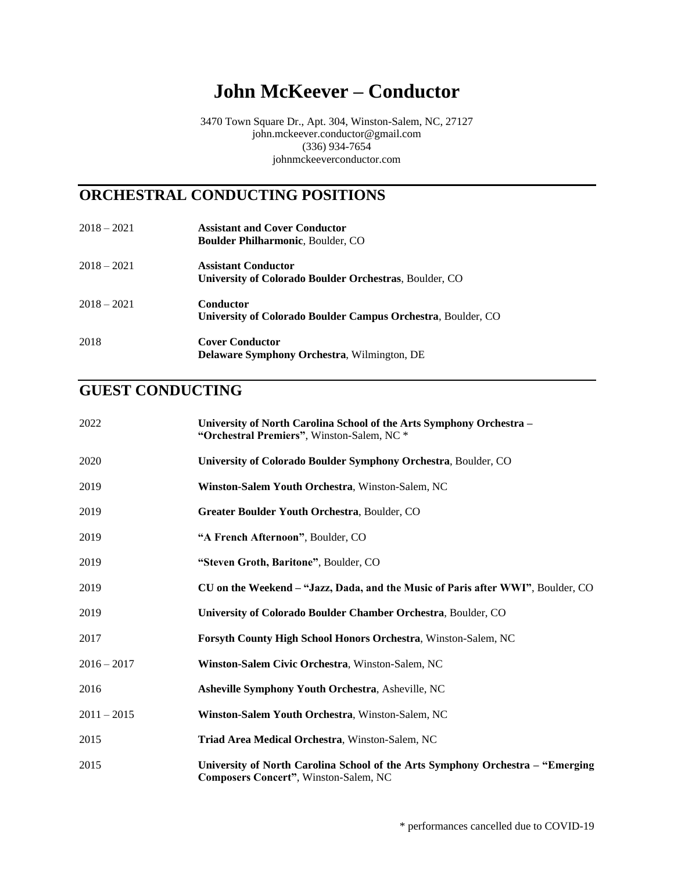# **John McKeever – Conductor**

3470 Town Square Dr., Apt. 304, Winston-Salem, NC, 27127 john.mckeever.conductor@gmail.com (336) 934-7654 johnmckeeverconductor.com

#### **ORCHESTRAL CONDUCTING POSITIONS**

| $2018 - 2021$ | <b>Assistant and Cover Conductor</b><br><b>Boulder Philharmonic, Boulder, CO</b> |
|---------------|----------------------------------------------------------------------------------|
| $2018 - 2021$ | <b>Assistant Conductor</b>                                                       |
|               | University of Colorado Boulder Orchestras, Boulder, CO                           |
| $2018 - 2021$ | Conductor                                                                        |
|               | University of Colorado Boulder Campus Orchestra, Boulder, CO                     |
| 2018          | <b>Cover Conductor</b>                                                           |
|               | <b>Delaware Symphony Orchestra, Wilmington, DE</b>                               |

#### **GUEST CONDUCTING**

| 2022          | University of North Carolina School of the Arts Symphony Orchestra -<br>"Orchestral Premiers", Winston-Salem, NC *      |
|---------------|-------------------------------------------------------------------------------------------------------------------------|
| 2020          | University of Colorado Boulder Symphony Orchestra, Boulder, CO                                                          |
| 2019          | Winston-Salem Youth Orchestra, Winston-Salem, NC                                                                        |
| 2019          | Greater Boulder Youth Orchestra, Boulder, CO                                                                            |
| 2019          | "A French Afternoon", Boulder, CO                                                                                       |
| 2019          | "Steven Groth, Baritone", Boulder, CO                                                                                   |
| 2019          | CU on the Weekend – "Jazz, Dada, and the Music of Paris after WWI", Boulder, CO                                         |
| 2019          | University of Colorado Boulder Chamber Orchestra, Boulder, CO                                                           |
| 2017          | Forsyth County High School Honors Orchestra, Winston-Salem, NC                                                          |
| $2016 - 2017$ | Winston-Salem Civic Orchestra, Winston-Salem, NC                                                                        |
| 2016          | <b>Asheville Symphony Youth Orchestra, Asheville, NC</b>                                                                |
| $2011 - 2015$ | Winston-Salem Youth Orchestra, Winston-Salem, NC                                                                        |
| 2015          | Triad Area Medical Orchestra, Winston-Salem, NC                                                                         |
| 2015          | University of North Carolina School of the Arts Symphony Orchestra – "Emerging<br>Composers Concert", Winston-Salem, NC |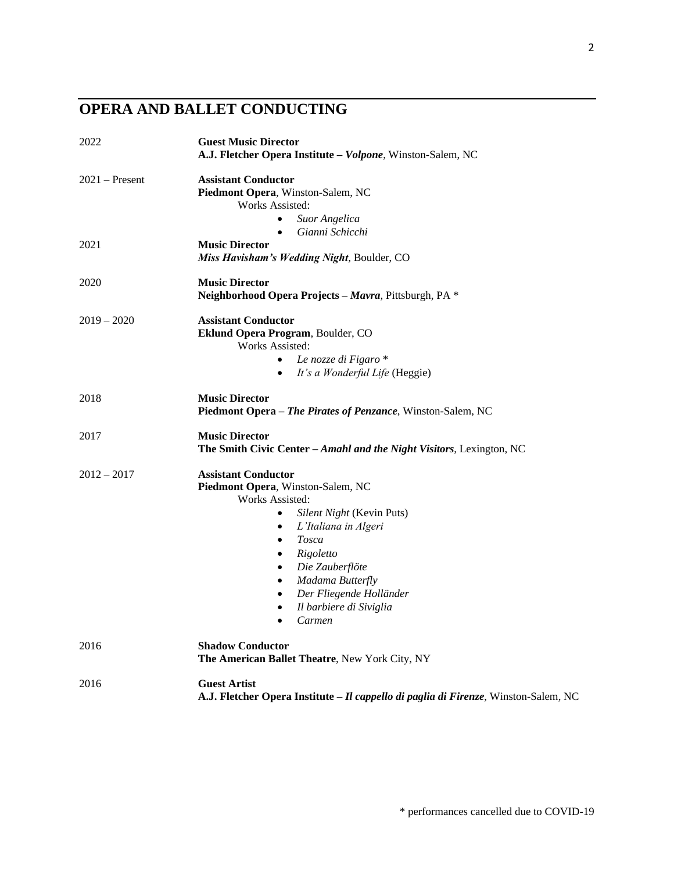# **OPERA AND BALLET CONDUCTING**

| 2022             | <b>Guest Music Director</b><br>A.J. Fletcher Opera Institute - Volpone, Winston-Salem, NC                                                                                                                                                                                                                                                                 |
|------------------|-----------------------------------------------------------------------------------------------------------------------------------------------------------------------------------------------------------------------------------------------------------------------------------------------------------------------------------------------------------|
| $2021 -$ Present | <b>Assistant Conductor</b><br>Piedmont Opera, Winston-Salem, NC<br>Works Assisted:<br>Suor Angelica<br>Gianni Schicchi                                                                                                                                                                                                                                    |
| 2021             | $\bullet$<br><b>Music Director</b><br>Miss Havisham's Wedding Night, Boulder, CO                                                                                                                                                                                                                                                                          |
| 2020             | <b>Music Director</b><br>Neighborhood Opera Projects - Mavra, Pittsburgh, PA *                                                                                                                                                                                                                                                                            |
| $2019 - 2020$    | <b>Assistant Conductor</b><br>Eklund Opera Program, Boulder, CO<br>Works Assisted:<br>Le nozze di Figaro *<br>$\bullet$<br>It's a Wonderful Life (Heggie)<br>$\bullet$                                                                                                                                                                                    |
| 2018             | <b>Music Director</b><br>Piedmont Opera - The Pirates of Penzance, Winston-Salem, NC                                                                                                                                                                                                                                                                      |
| 2017             | <b>Music Director</b><br>The Smith Civic Center - Amahl and the Night Visitors, Lexington, NC                                                                                                                                                                                                                                                             |
| $2012 - 2017$    | <b>Assistant Conductor</b><br>Piedmont Opera, Winston-Salem, NC<br>Works Assisted:<br>Silent Night (Kevin Puts)<br>$\bullet$<br>L'Italiana in Algeri<br>$\bullet$<br><b>Tosca</b><br>$\bullet$<br>Rigoletto<br>$\bullet$<br>Die Zauberflöte<br>Madama Butterfly<br>$\bullet$<br>Der Fliegende Holländer<br>$\bullet$<br>Il barbiere di Siviglia<br>Carmen |
| 2016             | <b>Shadow Conductor</b><br>The American Ballet Theatre, New York City, NY                                                                                                                                                                                                                                                                                 |
| 2016             | <b>Guest Artist</b><br>A.J. Fletcher Opera Institute - Il cappello di paglia di Firenze, Winston-Salem, NC                                                                                                                                                                                                                                                |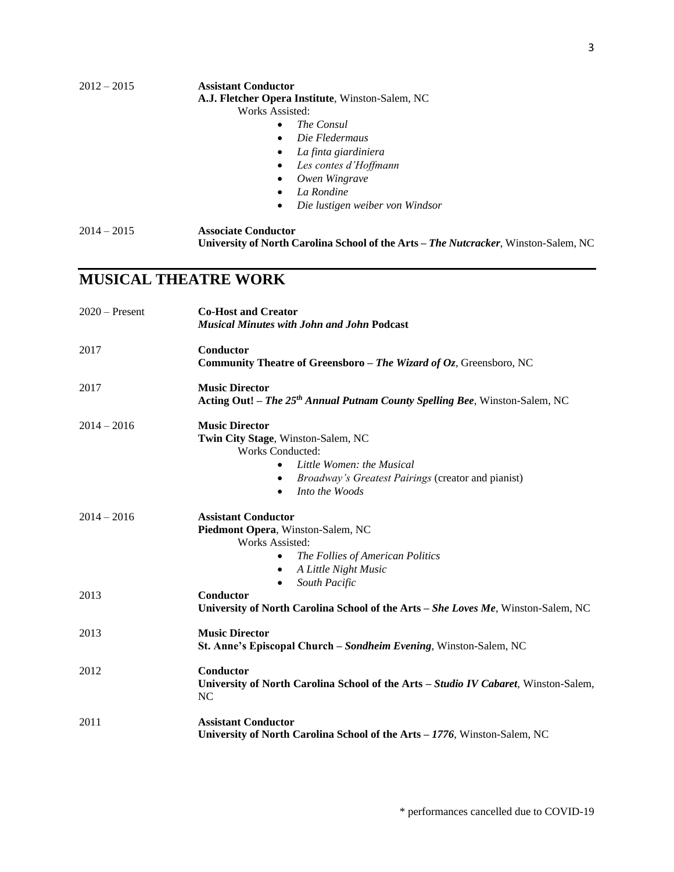**A.J. Fletcher Opera Institute**, Winston-Salem, NC

Works Assisted:

- *The Consul*
- *Die Fledermaus*
- *La finta giardiniera*
- *Les contes d'Hoffmann*
- *Owen Wingrave*
- *La Rondine*
- *Die lustigen weiber von Windsor*
- 2014 2015 **Associate Conductor University of North Carolina School of the Arts –** *The Nutcracker*, Winston-Salem, NC

### **MUSICAL THEATRE WORK**

| $2020$ – Present | <b>Co-Host and Creator</b><br><b>Musical Minutes with John and John Podcast</b>                                                                                                                                                    |
|------------------|------------------------------------------------------------------------------------------------------------------------------------------------------------------------------------------------------------------------------------|
| 2017             | Conductor<br>Community Theatre of Greensboro - The Wizard of Oz, Greensboro, NC                                                                                                                                                    |
| 2017             | <b>Music Director</b><br>Acting Out! - The 25 <sup>th</sup> Annual Putnam County Spelling Bee, Winston-Salem, NC                                                                                                                   |
| $2014 - 2016$    | <b>Music Director</b><br>Twin City Stage, Winston-Salem, NC<br><b>Works Conducted:</b><br>Little Women: the Musical<br>$\bullet$<br>Broadway's Greatest Pairings (creator and pianist)<br>$\bullet$<br>Into the Woods<br>$\bullet$ |
| $2014 - 2016$    | <b>Assistant Conductor</b><br>Piedmont Opera, Winston-Salem, NC<br>Works Assisted:<br>The Follies of American Politics<br>A Little Night Music<br>South Pacific<br>$\bullet$                                                       |
| 2013             | Conductor<br>University of North Carolina School of the Arts - She Loves Me, Winston-Salem, NC                                                                                                                                     |
| 2013             | <b>Music Director</b><br>St. Anne's Episcopal Church – Sondheim Evening, Winston-Salem, NC                                                                                                                                         |
| 2012             | Conductor<br>University of North Carolina School of the Arts - Studio IV Cabaret, Winston-Salem,<br><b>NC</b>                                                                                                                      |
| 2011             | <b>Assistant Conductor</b><br>University of North Carolina School of the Arts - 1776, Winston-Salem, NC                                                                                                                            |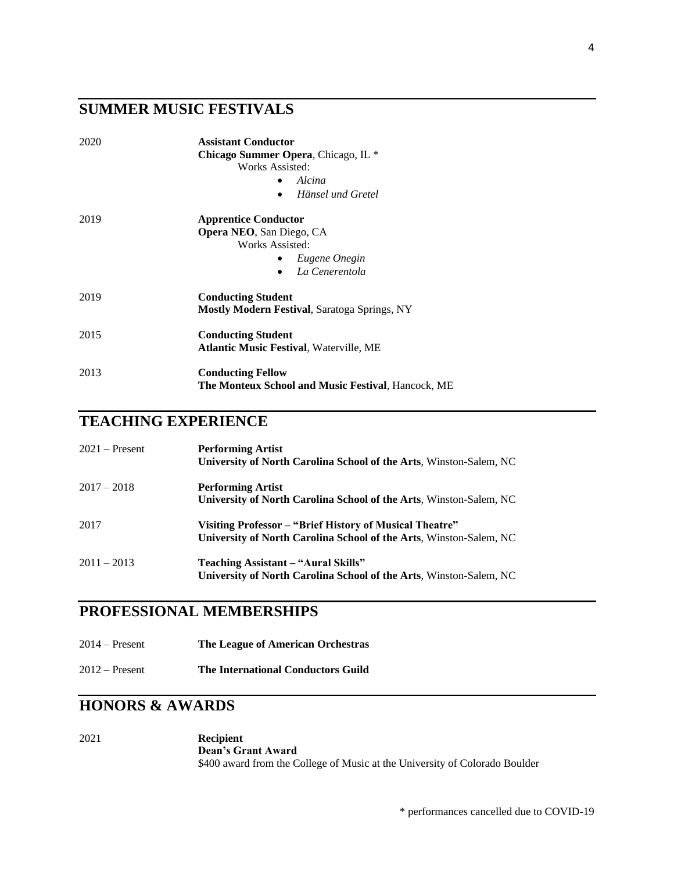## **SUMMER MUSIC FESTIVALS**

| 2020 | <b>Assistant Conductor</b>                                |
|------|-----------------------------------------------------------|
|      | <b>Chicago Summer Opera, Chicago, IL *</b>                |
|      | Works Assisted:                                           |
|      | Alcina                                                    |
|      | Hänsel und Gretel                                         |
| 2019 | <b>Apprentice Conductor</b>                               |
|      | <b>Opera NEO, San Diego, CA</b>                           |
|      | Works Assisted:                                           |
|      | Eugene Onegin                                             |
|      | La Cenerentola<br>$\bullet$                               |
| 2019 | <b>Conducting Student</b>                                 |
|      | <b>Mostly Modern Festival, Saratoga Springs, NY</b>       |
| 2015 | <b>Conducting Student</b>                                 |
|      | <b>Atlantic Music Festival, Waterville, ME</b>            |
| 2013 | <b>Conducting Fellow</b>                                  |
|      | <b>The Monteux School and Music Festival, Hancock, ME</b> |

## **TEACHING EXPERIENCE**

| $2021 -$ Present | <b>Performing Artist</b><br><b>University of North Carolina School of the Arts, Winston-Salem, NC</b>                         |
|------------------|-------------------------------------------------------------------------------------------------------------------------------|
| $2017 - 2018$    | <b>Performing Artist</b><br>University of North Carolina School of the Arts, Winston-Salem, NC                                |
| 2017             | Visiting Professor – "Brief History of Musical Theatre"<br>University of North Carolina School of the Arts, Winston-Salem, NC |
| $2011 - 2013$    | Teaching Assistant – "Aural Skills"<br>University of North Carolina School of the Arts, Winston-Salem, NC                     |

### **PROFESSIONAL MEMBERSHIPS**

| $2014 -$ Present | The League of American Orchestras |  |
|------------------|-----------------------------------|--|
|------------------|-----------------------------------|--|

2012 – Present **The International Conductors Guild**

#### **HONORS & AWARDS**

| 2021 | <b>Recipient</b>                                                            |
|------|-----------------------------------------------------------------------------|
|      | <b>Dean's Grant Award</b>                                                   |
|      | \$400 award from the College of Music at the University of Colorado Boulder |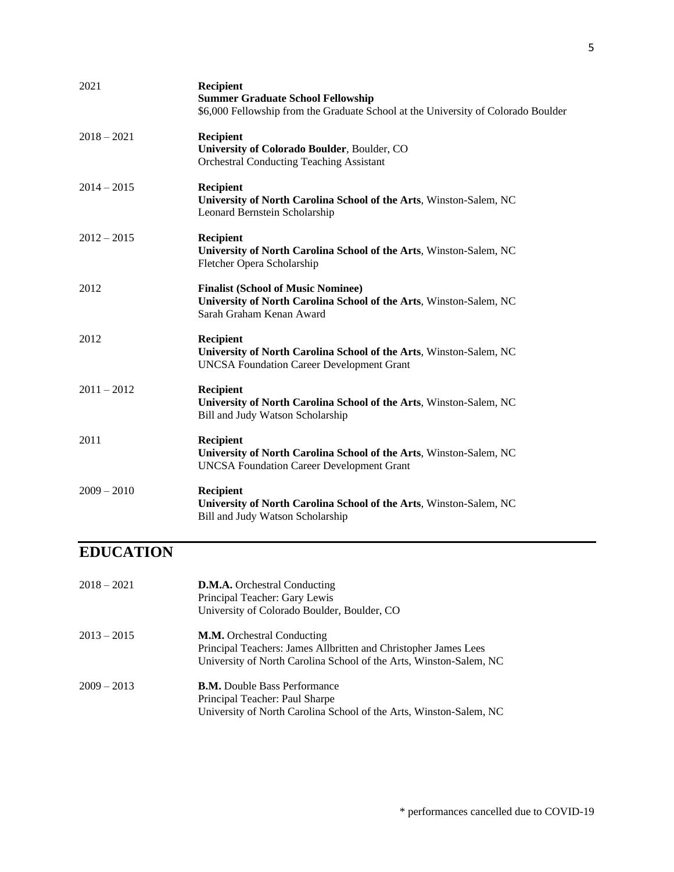| 2021          | Recipient<br><b>Summer Graduate School Fellowship</b><br>\$6,000 Fellowship from the Graduate School at the University of Colorado Boulder  |
|---------------|---------------------------------------------------------------------------------------------------------------------------------------------|
| $2018 - 2021$ | Recipient<br>University of Colorado Boulder, Boulder, CO<br><b>Orchestral Conducting Teaching Assistant</b>                                 |
| $2014 - 2015$ | <b>Recipient</b><br>University of North Carolina School of the Arts, Winston-Salem, NC<br>Leonard Bernstein Scholarship                     |
| $2012 - 2015$ | Recipient<br>University of North Carolina School of the Arts, Winston-Salem, NC<br>Fletcher Opera Scholarship                               |
| 2012          | <b>Finalist (School of Music Nominee)</b><br>University of North Carolina School of the Arts, Winston-Salem, NC<br>Sarah Graham Kenan Award |
| 2012          | <b>Recipient</b><br>University of North Carolina School of the Arts, Winston-Salem, NC<br><b>UNCSA Foundation Career Development Grant</b>  |
| $2011 - 2012$ | Recipient<br>University of North Carolina School of the Arts, Winston-Salem, NC<br>Bill and Judy Watson Scholarship                         |
| 2011          | Recipient<br>University of North Carolina School of the Arts, Winston-Salem, NC<br><b>UNCSA Foundation Career Development Grant</b>         |
| $2009 - 2010$ | <b>Recipient</b><br>University of North Carolina School of the Arts, Winston-Salem, NC<br>Bill and Judy Watson Scholarship                  |

# **EDUCATION**

| 2018 – 2021 | <b>D.M.A.</b> Orchestral Conducting<br>Principal Teacher: Gary Lewis<br>University of Colorado Boulder, Boulder, CO.                                                       |
|-------------|----------------------------------------------------------------------------------------------------------------------------------------------------------------------------|
| 2013 – 2015 | <b>M.M.</b> Orchestral Conducting<br>Principal Teachers: James Allbritten and Christopher James Lees<br>University of North Carolina School of the Arts, Winston-Salem, NC |
| 2009 – 2013 | <b>B.M.</b> Double Bass Performance<br>Principal Teacher: Paul Sharpe<br>University of North Carolina School of the Arts, Winston-Salem, NC                                |